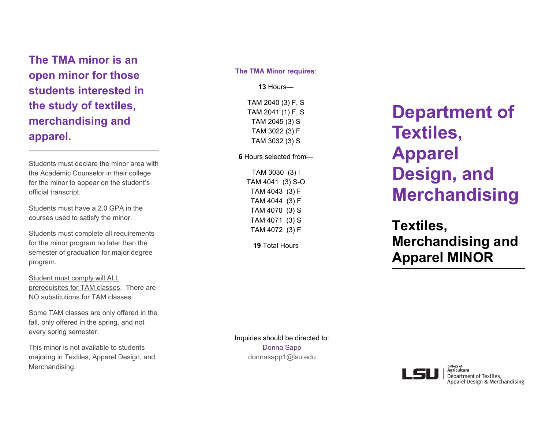## **The TMA minor is an open minor for those students interested in the study of textiles, merchandising and apparel.**

Students must declare the minor area with the Academic Counselor in their college for the minor to appear on the student's official transcript.

Students must have a 2.0 GPA in the courses used to satisfy the minor.

Students must complete all requirements for the minor program no later than the semester of graduation for major degree program.

Student must comply will ALL prerequisites for TAM classes. There are NO substitutions for TAM classes.

Some TAM classes are only offered in the fall, only offered in the spring, and not every spring semester.

This minor is not available to students majoring in Textiles, Apparel Design, and Merchandising.

#### **The TMA Minor requires**:

**13** Hours—

TAM 2040 (3) F, S TAM 2041 (1) F, S TAM 2045 (3) S TAM 3022 (3) F TAM 3032 (3) S

### **6** Hours selected from—

TAM 3030 (3) I TAM 4041 (3) S-O TAM 4043 (3) F TAM 4044 (3) F TAM 4070 (3) S TAM 4071 (3) S TAM 4072 (3) F

**19** Total Hours

# **Department of Textiles, Apparel Design, and Merchandising**

## **Textiles, Merchandising and Apparel MINOR**

Inquiries should be directed to: Donna Sapp donnasapp1@lsu.edu



College of<br>**Agriculture** Department of Textiles, Apparel Design & Merchandising